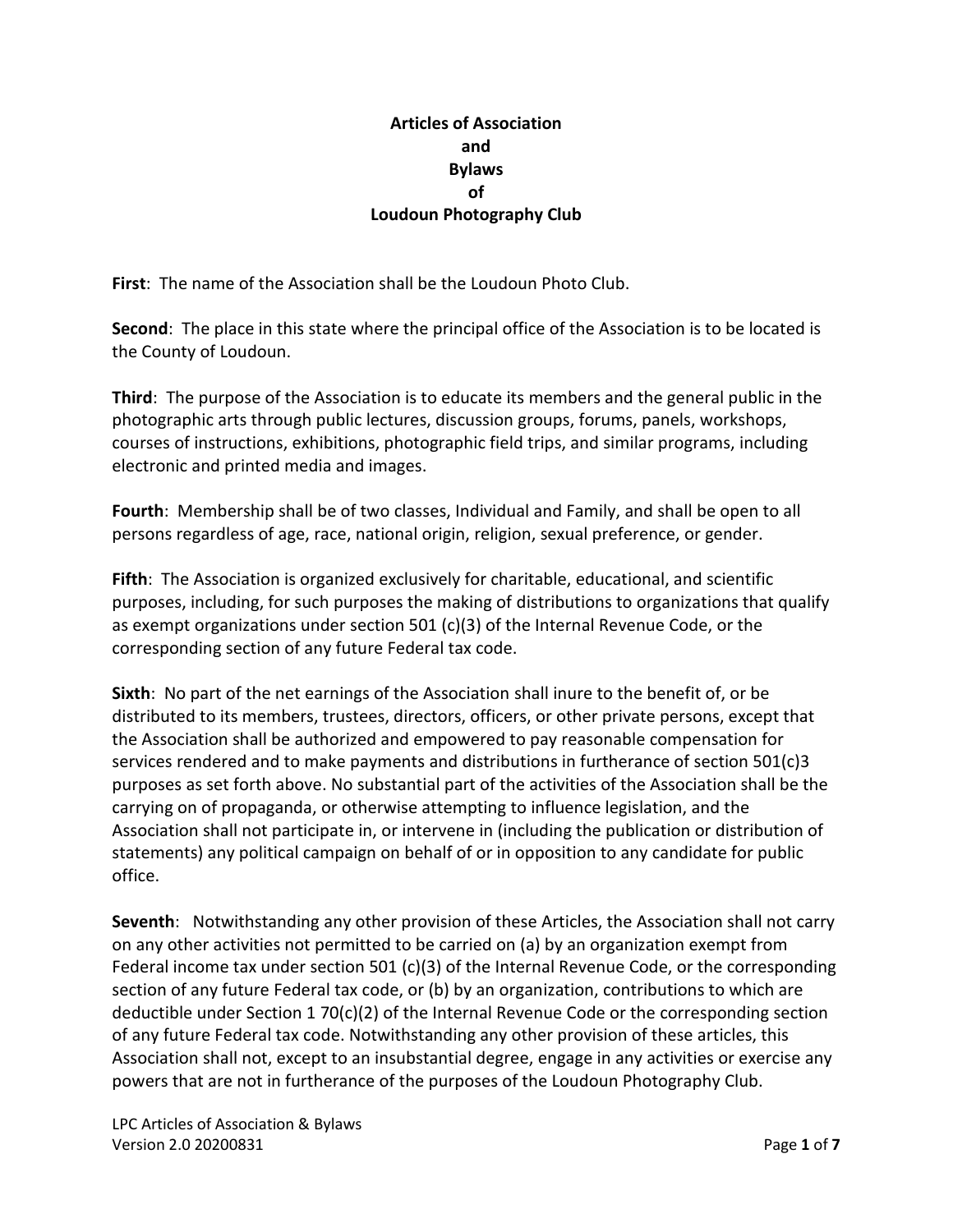### **Articles of Association and Bylaws of Loudoun Photography Club**

**First**: The name of the Association shall be the Loudoun Photo Club.

**Second**: The place in this state where the principal office of the Association is to be located is the County of Loudoun.

**Third**: The purpose of the Association is to educate its members and the general public in the photographic arts through public lectures, discussion groups, forums, panels, workshops, courses of instructions, exhibitions, photographic field trips, and similar programs, including electronic and printed media and images.

**Fourth**: Membership shall be of two classes, Individual and Family, and shall be open to all persons regardless of age, race, national origin, religion, sexual preference, or gender.

**Fifth**: The Association is organized exclusively for charitable, educational, and scientific purposes, including, for such purposes the making of distributions to organizations that qualify as exempt organizations under section 501 (c)(3) of the Internal Revenue Code, or the corresponding section of any future Federal tax code.

**Sixth**: No part of the net earnings of the Association shall inure to the benefit of, or be distributed to its members, trustees, directors, officers, or other private persons, except that the Association shall be authorized and empowered to pay reasonable compensation for services rendered and to make payments and distributions in furtherance of section 501(c)3 purposes as set forth above. No substantial part of the activities of the Association shall be the carrying on of propaganda, or otherwise attempting to influence legislation, and the Association shall not participate in, or intervene in (including the publication or distribution of statements) any political campaign on behalf of or in opposition to any candidate for public office.

**Seventh**: Notwithstanding any other provision of these Articles, the Association shall not carry on any other activities not permitted to be carried on (a) by an organization exempt from Federal income tax under section 501 (c)(3) of the Internal Revenue Code, or the corresponding section of any future Federal tax code, or (b) by an organization, contributions to which are deductible under Section 1 70(c)(2) of the Internal Revenue Code or the corresponding section of any future Federal tax code. Notwithstanding any other provision of these articles, this Association shall not, except to an insubstantial degree, engage in any activities or exercise any powers that are not in furtherance of the purposes of the Loudoun Photography Club.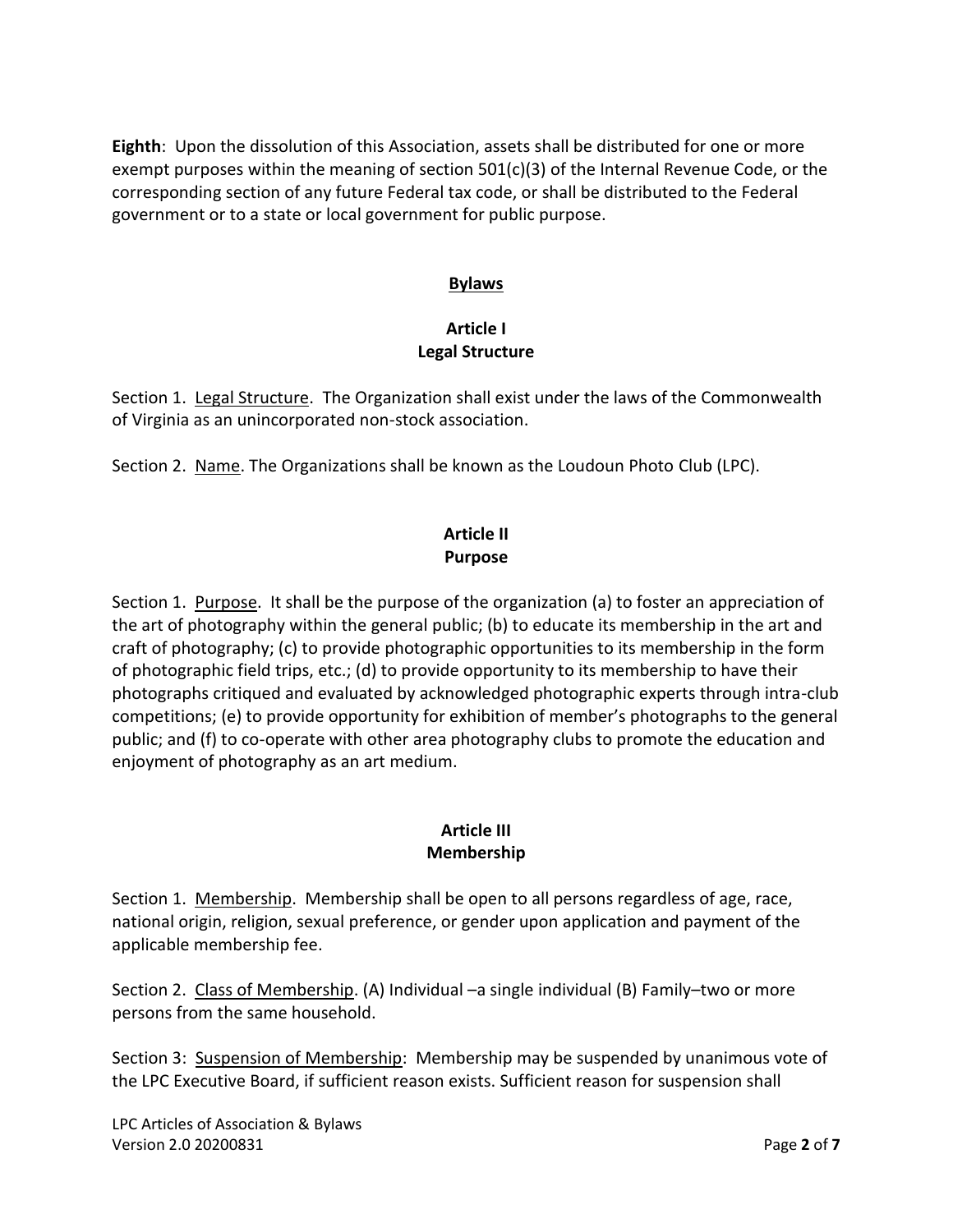**Eighth**: Upon the dissolution of this Association, assets shall be distributed for one or more exempt purposes within the meaning of section 501(c)(3) of the Internal Revenue Code, or the corresponding section of any future Federal tax code, or shall be distributed to the Federal government or to a state or local government for public purpose.

#### **Bylaws**

#### **Article I Legal Structure**

Section 1. Legal Structure. The Organization shall exist under the laws of the Commonwealth of Virginia as an unincorporated non-stock association.

Section 2. Name. The Organizations shall be known as the Loudoun Photo Club (LPC).

## **Article II Purpose**

Section 1. Purpose. It shall be the purpose of the organization (a) to foster an appreciation of the art of photography within the general public; (b) to educate its membership in the art and craft of photography; (c) to provide photographic opportunities to its membership in the form of photographic field trips, etc.; (d) to provide opportunity to its membership to have their photographs critiqued and evaluated by acknowledged photographic experts through intra-club competitions; (e) to provide opportunity for exhibition of member's photographs to the general public; and (f) to co-operate with other area photography clubs to promote the education and enjoyment of photography as an art medium.

#### **Article III Membership**

Section 1. Membership. Membership shall be open to all persons regardless of age, race, national origin, religion, sexual preference, or gender upon application and payment of the applicable membership fee.

Section 2. Class of Membership. (A) Individual –a single individual (B) Family–two or more persons from the same household.

Section 3: Suspension of Membership: Membership may be suspended by unanimous vote of the LPC Executive Board, if sufficient reason exists. Sufficient reason for suspension shall

LPC Articles of Association & Bylaws Version 2.0 20200831 Page **2** of **7**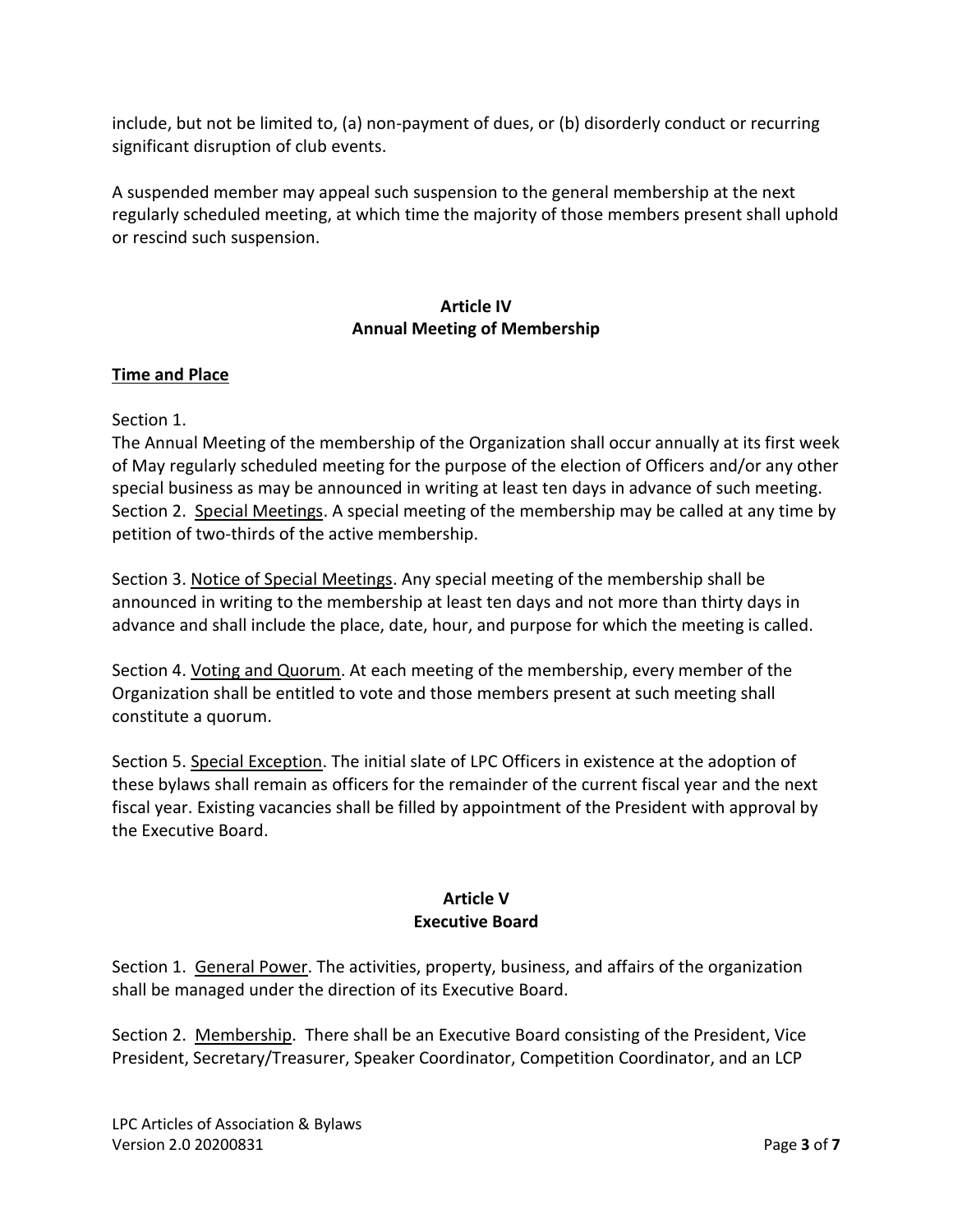include, but not be limited to, (a) non-payment of dues, or (b) disorderly conduct or recurring significant disruption of club events.

A suspended member may appeal such suspension to the general membership at the next regularly scheduled meeting, at which time the majority of those members present shall uphold or rescind such suspension.

### **Article IV Annual Meeting of Membership**

## **Time and Place**

#### Section 1.

The Annual Meeting of the membership of the Organization shall occur annually at its first week of May regularly scheduled meeting for the purpose of the election of Officers and/or any other special business as may be announced in writing at least ten days in advance of such meeting. Section 2. Special Meetings. A special meeting of the membership may be called at any time by petition of two-thirds of the active membership.

Section 3. Notice of Special Meetings. Any special meeting of the membership shall be announced in writing to the membership at least ten days and not more than thirty days in advance and shall include the place, date, hour, and purpose for which the meeting is called.

Section 4. Voting and Quorum. At each meeting of the membership, every member of the Organization shall be entitled to vote and those members present at such meeting shall constitute a quorum.

Section 5. Special Exception. The initial slate of LPC Officers in existence at the adoption of these bylaws shall remain as officers for the remainder of the current fiscal year and the next fiscal year. Existing vacancies shall be filled by appointment of the President with approval by the Executive Board.

# **Article V Executive Board**

Section 1. General Power. The activities, property, business, and affairs of the organization shall be managed under the direction of its Executive Board.

Section 2. Membership. There shall be an Executive Board consisting of the President, Vice President, Secretary/Treasurer, Speaker Coordinator, Competition Coordinator, and an LCP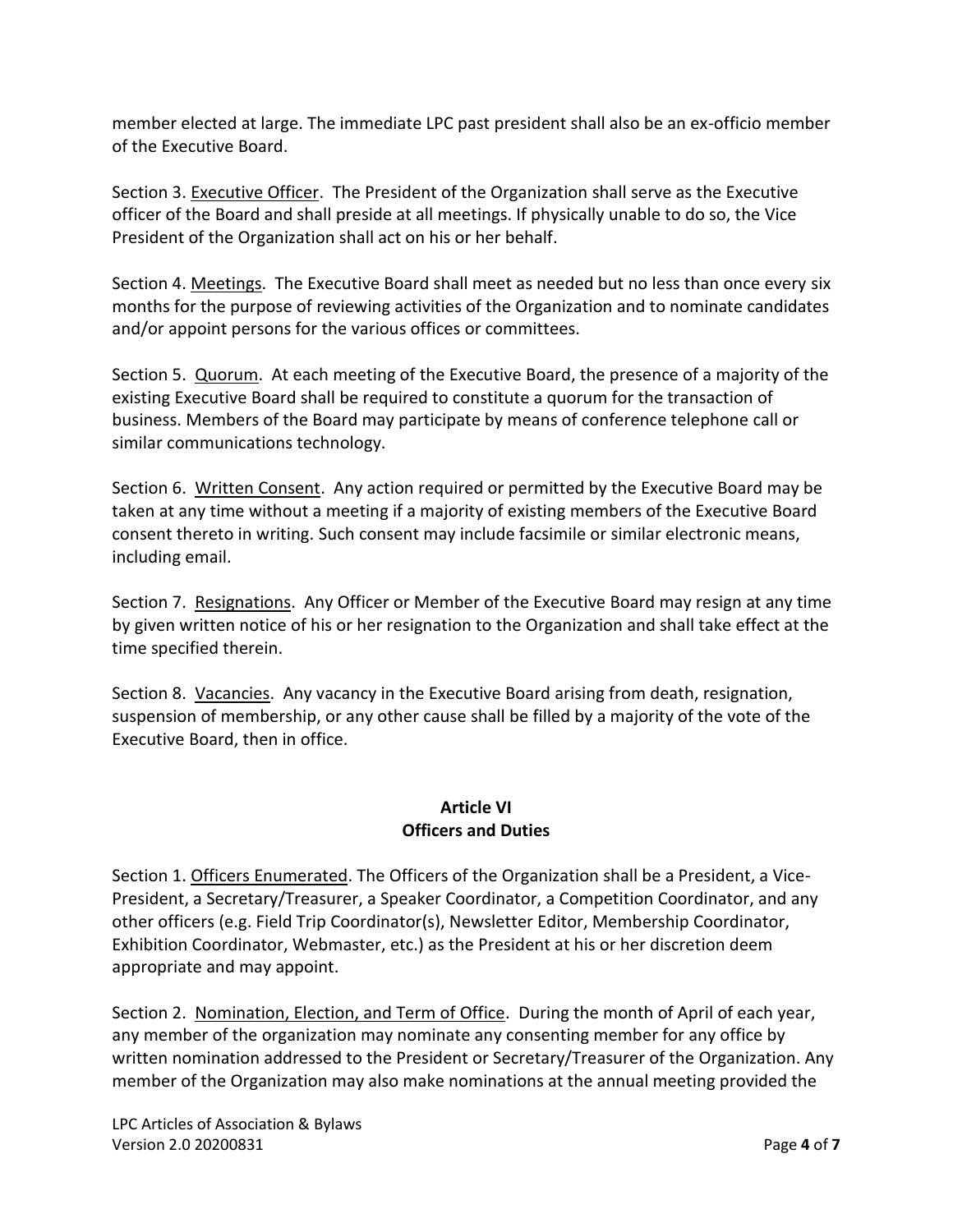member elected at large. The immediate LPC past president shall also be an ex-officio member of the Executive Board.

Section 3. Executive Officer. The President of the Organization shall serve as the Executive officer of the Board and shall preside at all meetings. If physically unable to do so, the Vice President of the Organization shall act on his or her behalf.

Section 4. Meetings. The Executive Board shall meet as needed but no less than once every six months for the purpose of reviewing activities of the Organization and to nominate candidates and/or appoint persons for the various offices or committees.

Section 5. Quorum. At each meeting of the Executive Board, the presence of a majority of the existing Executive Board shall be required to constitute a quorum for the transaction of business. Members of the Board may participate by means of conference telephone call or similar communications technology.

Section 6. Written Consent. Any action required or permitted by the Executive Board may be taken at any time without a meeting if a majority of existing members of the Executive Board consent thereto in writing. Such consent may include facsimile or similar electronic means, including email.

Section 7. Resignations. Any Officer or Member of the Executive Board may resign at any time by given written notice of his or her resignation to the Organization and shall take effect at the time specified therein.

Section 8. Vacancies. Any vacancy in the Executive Board arising from death, resignation, suspension of membership, or any other cause shall be filled by a majority of the vote of the Executive Board, then in office.

## **Article VI Officers and Duties**

Section 1. Officers Enumerated. The Officers of the Organization shall be a President, a Vice-President, a Secretary/Treasurer, a Speaker Coordinator, a Competition Coordinator, and any other officers (e.g. Field Trip Coordinator(s), Newsletter Editor, Membership Coordinator, Exhibition Coordinator, Webmaster, etc.) as the President at his or her discretion deem appropriate and may appoint.

Section 2. Nomination, Election, and Term of Office. During the month of April of each year, any member of the organization may nominate any consenting member for any office by written nomination addressed to the President or Secretary/Treasurer of the Organization. Any member of the Organization may also make nominations at the annual meeting provided the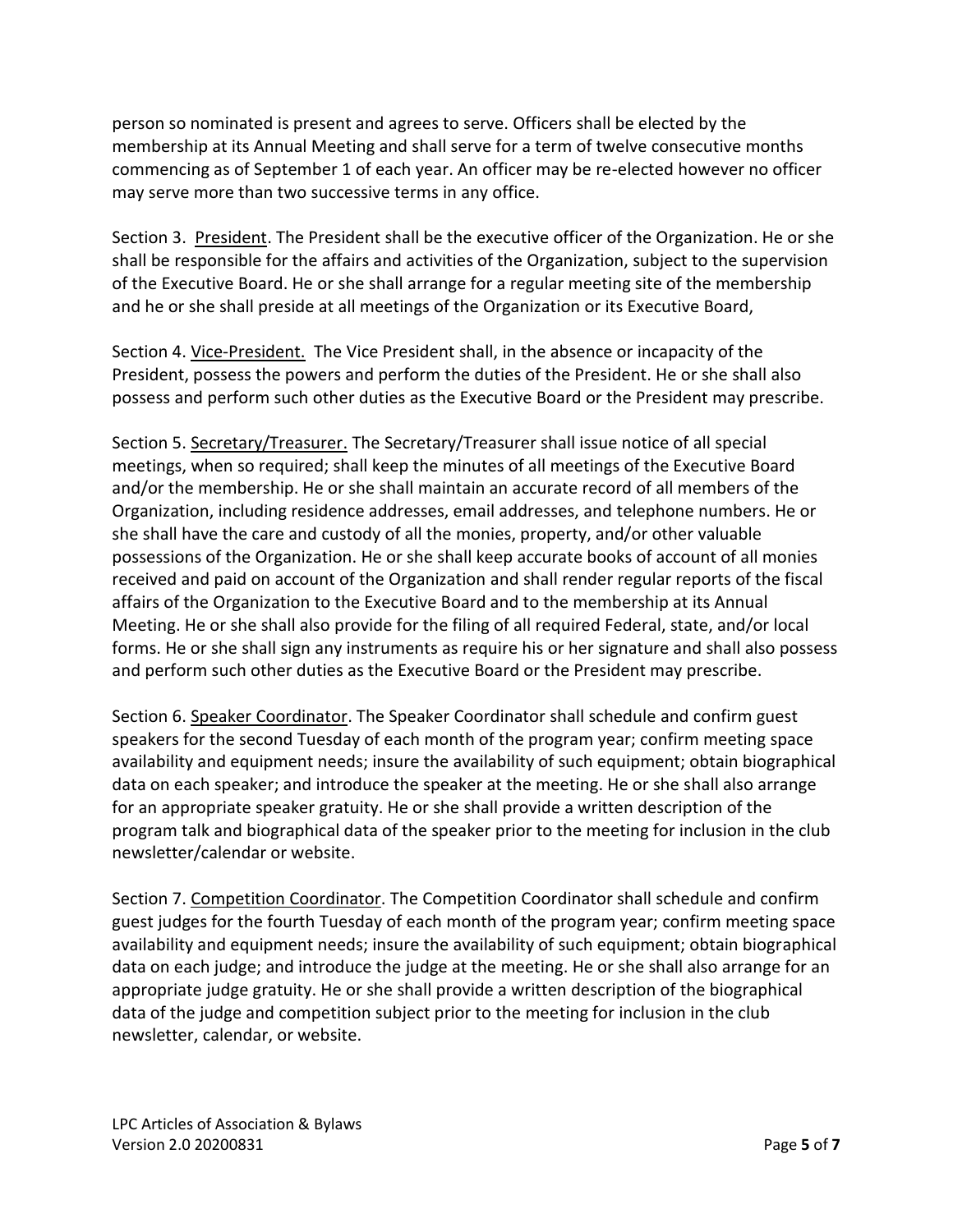person so nominated is present and agrees to serve. Officers shall be elected by the membership at its Annual Meeting and shall serve for a term of twelve consecutive months commencing as of September 1 of each year. An officer may be re-elected however no officer may serve more than two successive terms in any office.

Section 3. President. The President shall be the executive officer of the Organization. He or she shall be responsible for the affairs and activities of the Organization, subject to the supervision of the Executive Board. He or she shall arrange for a regular meeting site of the membership and he or she shall preside at all meetings of the Organization or its Executive Board,

Section 4. Vice-President. The Vice President shall, in the absence or incapacity of the President, possess the powers and perform the duties of the President. He or she shall also possess and perform such other duties as the Executive Board or the President may prescribe.

Section 5. Secretary/Treasurer. The Secretary/Treasurer shall issue notice of all special meetings, when so required; shall keep the minutes of all meetings of the Executive Board and/or the membership. He or she shall maintain an accurate record of all members of the Organization, including residence addresses, email addresses, and telephone numbers. He or she shall have the care and custody of all the monies, property, and/or other valuable possessions of the Organization. He or she shall keep accurate books of account of all monies received and paid on account of the Organization and shall render regular reports of the fiscal affairs of the Organization to the Executive Board and to the membership at its Annual Meeting. He or she shall also provide for the filing of all required Federal, state, and/or local forms. He or she shall sign any instruments as require his or her signature and shall also possess and perform such other duties as the Executive Board or the President may prescribe.

Section 6. Speaker Coordinator. The Speaker Coordinator shall schedule and confirm guest speakers for the second Tuesday of each month of the program year; confirm meeting space availability and equipment needs; insure the availability of such equipment; obtain biographical data on each speaker; and introduce the speaker at the meeting. He or she shall also arrange for an appropriate speaker gratuity. He or she shall provide a written description of the program talk and biographical data of the speaker prior to the meeting for inclusion in the club newsletter/calendar or website.

Section 7. Competition Coordinator. The Competition Coordinator shall schedule and confirm guest judges for the fourth Tuesday of each month of the program year; confirm meeting space availability and equipment needs; insure the availability of such equipment; obtain biographical data on each judge; and introduce the judge at the meeting. He or she shall also arrange for an appropriate judge gratuity. He or she shall provide a written description of the biographical data of the judge and competition subject prior to the meeting for inclusion in the club newsletter, calendar, or website.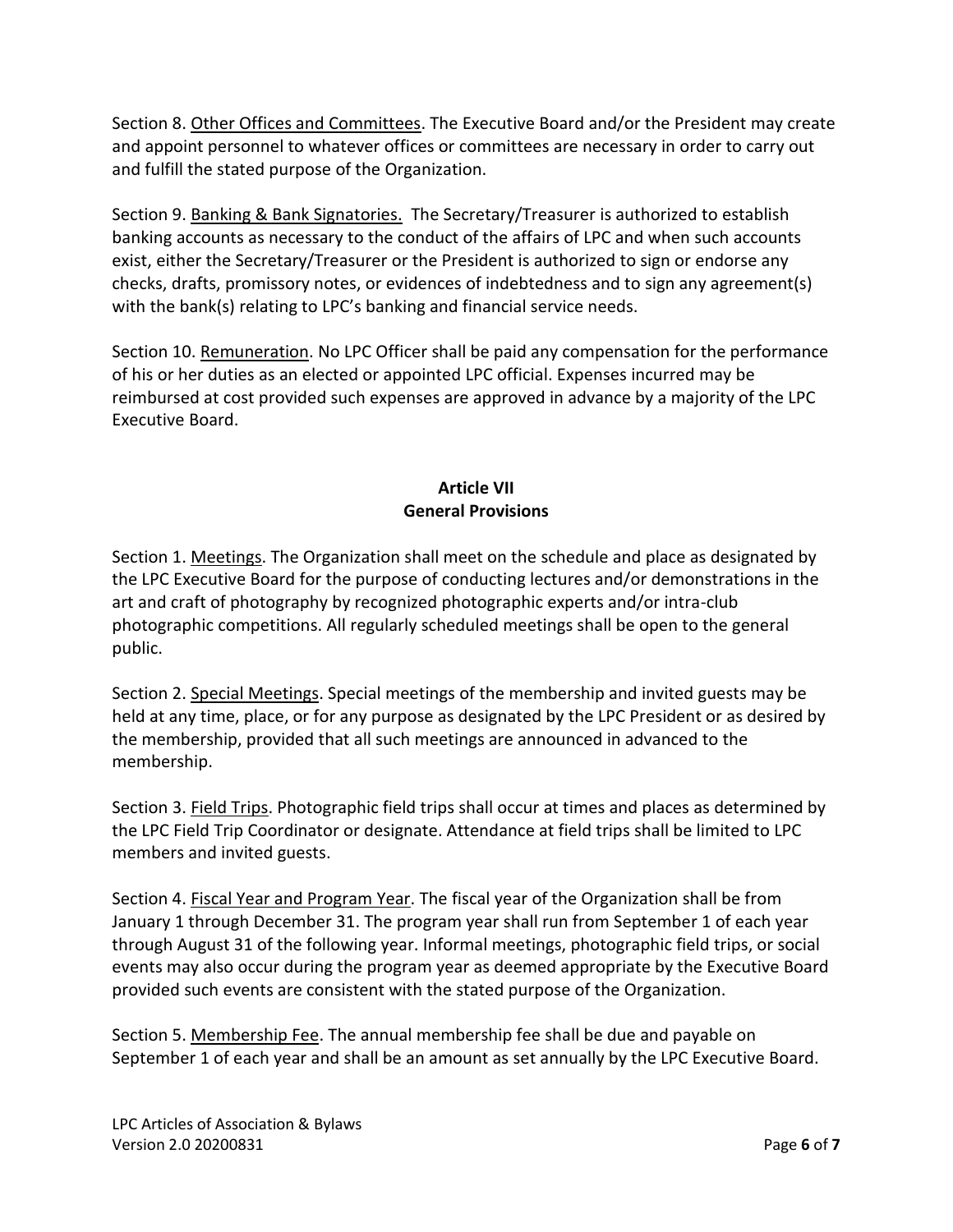Section 8. Other Offices and Committees. The Executive Board and/or the President may create and appoint personnel to whatever offices or committees are necessary in order to carry out and fulfill the stated purpose of the Organization.

Section 9. Banking & Bank Signatories. The Secretary/Treasurer is authorized to establish banking accounts as necessary to the conduct of the affairs of LPC and when such accounts exist, either the Secretary/Treasurer or the President is authorized to sign or endorse any checks, drafts, promissory notes, or evidences of indebtedness and to sign any agreement(s) with the bank(s) relating to LPC's banking and financial service needs.

Section 10. Remuneration. No LPC Officer shall be paid any compensation for the performance of his or her duties as an elected or appointed LPC official. Expenses incurred may be reimbursed at cost provided such expenses are approved in advance by a majority of the LPC Executive Board.

# **Article VII General Provisions**

Section 1. Meetings. The Organization shall meet on the schedule and place as designated by the LPC Executive Board for the purpose of conducting lectures and/or demonstrations in the art and craft of photography by recognized photographic experts and/or intra-club photographic competitions. All regularly scheduled meetings shall be open to the general public.

Section 2. Special Meetings. Special meetings of the membership and invited guests may be held at any time, place, or for any purpose as designated by the LPC President or as desired by the membership, provided that all such meetings are announced in advanced to the membership.

Section 3. Field Trips. Photographic field trips shall occur at times and places as determined by the LPC Field Trip Coordinator or designate. Attendance at field trips shall be limited to LPC members and invited guests.

Section 4. Fiscal Year and Program Year. The fiscal year of the Organization shall be from January 1 through December 31. The program year shall run from September 1 of each year through August 31 of the following year. Informal meetings, photographic field trips, or social events may also occur during the program year as deemed appropriate by the Executive Board provided such events are consistent with the stated purpose of the Organization.

Section 5. Membership Fee. The annual membership fee shall be due and payable on September 1 of each year and shall be an amount as set annually by the LPC Executive Board.